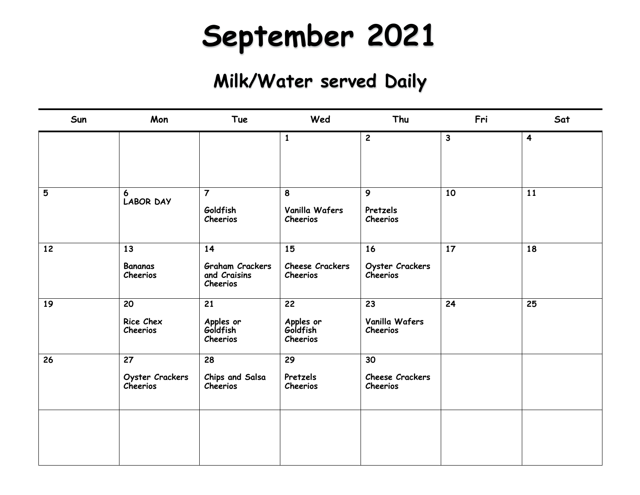## **September 2021**

| Sun | Mon                               | <b>Tue</b>                                               | Wed                                                  | Thu                                             | Fri          | Sat                     |
|-----|-----------------------------------|----------------------------------------------------------|------------------------------------------------------|-------------------------------------------------|--------------|-------------------------|
|     |                                   |                                                          | $\mathbf{1}$                                         | $\mathbf{2}$                                    | $\mathbf{3}$ | $\overline{\mathbf{4}}$ |
| 5   | 6<br><b>LABOR DAY</b>             | $\overline{7}$<br>Goldfish<br>Cheerios                   | 8<br>Vanilla Wafers<br>Cheerios                      | 9<br>Pretzels<br>Cheerios                       | 10           | 11                      |
| 12  | 13<br><b>Bananas</b><br>Cheerios  | 14<br><b>Graham Crackers</b><br>and Craisins<br>Cheerios | 15<br><b>Cheese Crackers</b><br>Cheerios             | 16<br>Oyster Crackers<br>Cheerios               | 17           | 18                      |
| 19  | 20<br>Rice Chex<br>Cheerios       | 21<br>Apples or<br>Goldfish<br>Cheerios                  | $\overline{22}$<br>Apples or<br>Goldfish<br>Cheerios | $\overline{23}$<br>Vanilla Wafers<br>Cheerios   | 24           | 25                      |
| 26  | 27<br>Oyster Crackers<br>Cheerios | 28<br>Chips and Salsa<br>Cheerios                        | 29<br>Pretzels<br><b>Cheerios</b>                    | 30<br><b>Cheese Crackers</b><br><b>Cheerios</b> |              |                         |
|     |                                   |                                                          |                                                      |                                                 |              |                         |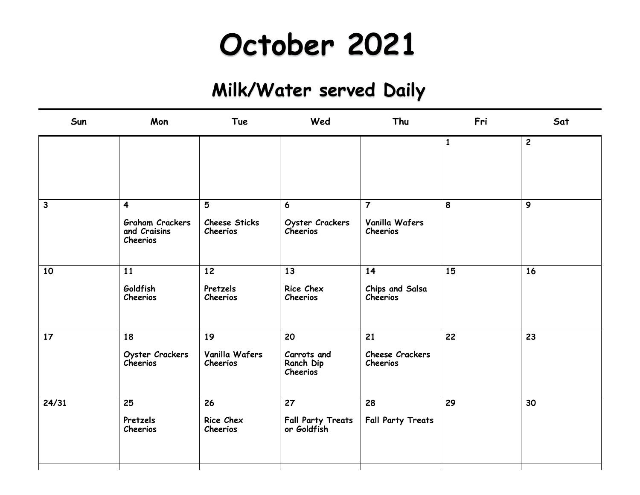## **October 2021**

| Sun          | Mon                                                | <b>Tue</b>                       | Wed                                     | Thu                         | Fri          | Sat          |
|--------------|----------------------------------------------------|----------------------------------|-----------------------------------------|-----------------------------|--------------|--------------|
|              |                                                    |                                  |                                         |                             | $\mathbf{1}$ | $\mathbf{2}$ |
|              |                                                    |                                  |                                         |                             |              |              |
| $\mathbf{3}$ | $\overline{\mathbf{4}}$                            | 5                                | 6                                       | $\overline{7}$              | 8            | 9            |
|              | <b>Graham Crackers</b><br>and Craisins<br>Cheerios | <b>Cheese Sticks</b><br>Cheerios | <b>Oyster Crackers</b><br>Cheerios      | Vanilla Wafers<br>Cheerios  |              |              |
| 10           | 11                                                 | 12                               | 13                                      | 14                          | 15           | 16           |
|              | Goldfish<br>Cheerios                               | Pretzels<br>Cheerios             | Rice Chex<br>Cheerios                   | Chips and Salsa<br>Cheerios |              |              |
| 17           | 18                                                 | 19                               | 20                                      | 21                          | 22           | 23           |
|              | Oyster Crackers<br>Cheerios                        | Vanilla Wafers<br>Cheerios       | Carrots and<br>Ranch Dip<br>Cheerios    | Cheese Crackers<br>Cheerios |              |              |
| 24/31        | 25                                                 | 26                               | 27                                      | 28                          | 29           | 30           |
|              | Pretzels<br><b>Cheerios</b>                        | Rice Chex<br>Cheerios            | <b>Fall Party Treats</b><br>or Goldfish | <b>Fall Party Treats</b>    |              |              |
|              |                                                    |                                  |                                         |                             |              |              |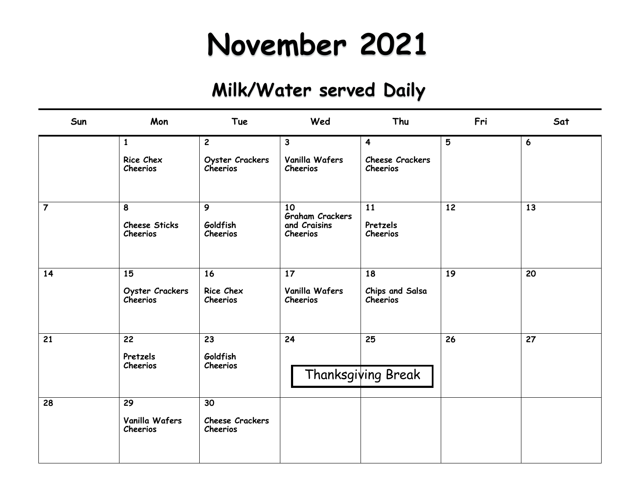## **November 2021**

| Sun            | Mon                                   | <b>Tue</b>                        | Wed                                                      | Thu                               | Fri | Sat |
|----------------|---------------------------------------|-----------------------------------|----------------------------------------------------------|-----------------------------------|-----|-----|
|                | $\mathbf{1}$                          | $\overline{c}$                    | 3                                                        | $\overline{\mathbf{4}}$           | 5   | 6   |
|                | Rice Chex<br>Cheerios                 | Oyster Crackers<br>Cheerios       | Vanilla Wafers<br>Cheerios                               | Cheese Crackers<br>Cheerios       |     |     |
| $\overline{7}$ | 8<br><b>Cheese Sticks</b><br>Cheerios | 9<br>Goldfish<br>Cheerios         | 10<br><b>Graham Crackers</b><br>and Craisins<br>Cheerios | 11<br>Pretzels<br>Cheerios        | 12  | 13  |
| 14             | 15<br>Oyster Crackers<br>Cheerios     | 16<br>Rice Chex<br>Cheerios       | 17<br>Vanilla Wafers<br>Cheerios                         | 18<br>Chips and Salsa<br>Cheerios | 19  | 20  |
| 21             | 22<br>Pretzels<br>Cheerios            | 23<br>Goldfish<br>Cheerios        | 24                                                       | 25<br>Thanksgiving Break          | 26  | 27  |
| 28             | 29<br>Vanilla Wafers<br>Cheerios      | 30<br>Cheese Crackers<br>Cheerios |                                                          |                                   |     |     |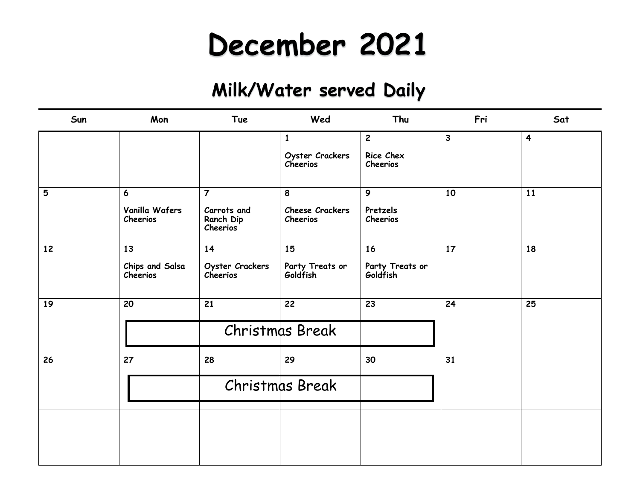## **December 2021**

| Sun | Mon                                            | Tue                                                           | Wed                                         | Thu                                     | Fri          | Sat                     |
|-----|------------------------------------------------|---------------------------------------------------------------|---------------------------------------------|-----------------------------------------|--------------|-------------------------|
|     |                                                |                                                               | $\mathbf{1}$<br>Oyster Crackers<br>Cheerios | $\overline{2}$<br>Rice Chex<br>Cheerios | $\mathbf{3}$ | $\overline{\mathbf{4}}$ |
| 5   | $\boldsymbol{6}$<br>Vanilla Wafers<br>Cheerios | $\overline{7}$<br>Carrots and<br>Ranch Dip<br><b>Cheerios</b> | 8<br><b>Cheese Crackers</b><br>Cheerios     | 9 <sup>°</sup><br>Pretzels<br>Cheerios  | 10           | 11                      |
| 12  | 13<br>Chips and Salsa<br>Cheerios              | 14<br>Oyster Crackers<br>Cheerios                             | 15<br>Party Treats or<br>Goldfish           | 16<br>Party Treats or<br>Goldfish       | 17           | 18                      |
| 19  | 20                                             | $\overline{21}$                                               | $\overline{22}$<br>Christmas Break          | $\overline{23}$                         | 24           | 25                      |
| 26  | 27                                             | 28                                                            | 29<br>Christmas Break                       | 30                                      | 31           |                         |
|     |                                                |                                                               |                                             |                                         |              |                         |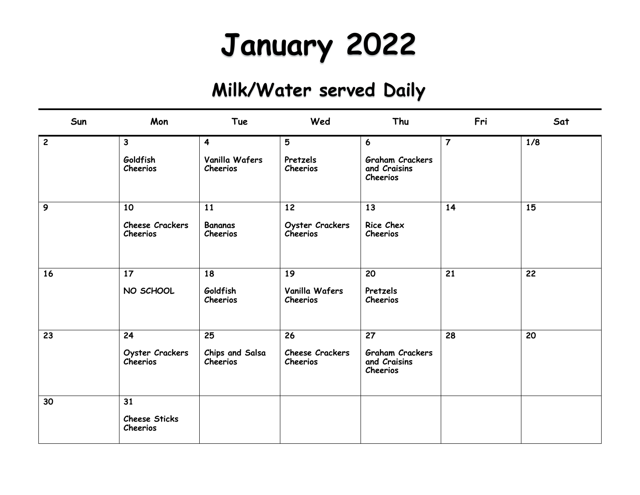# **January 2022**

| Sun            | Mon                                | <b>Tue</b>                  | Wed                         | Thu                                                | Fri            | Sat |
|----------------|------------------------------------|-----------------------------|-----------------------------|----------------------------------------------------|----------------|-----|
| $\overline{2}$ | $\mathbf{3}$                       | $\overline{\mathbf{4}}$     | 5                           | $6\overline{6}$                                    | $\overline{7}$ | 1/8 |
|                | Goldfish<br>Cheerios               | Vanilla Wafers<br>Cheerios  | Pretzels<br>Cheerios        | <b>Graham Crackers</b><br>and Craisins<br>Cheerios |                |     |
| 9              | 10                                 | 11                          | 12                          | 13                                                 | 14             | 15  |
|                | Cheese Crackers<br>Cheerios        | <b>Bananas</b><br>Cheerios  | Oyster Crackers<br>Cheerios | Rice Chex<br>Cheerios                              |                |     |
| 16             | 17                                 | 18                          | 19                          | 20                                                 | 21             | 22  |
|                | NO SCHOOL                          | Goldfish<br>Cheerios        | Vanilla Wafers<br>Cheerios  | Pretzels<br>Cheerios                               |                |     |
| 23             | 24                                 | 25                          | 26                          | 27                                                 | 28             | 20  |
|                | Oyster Crackers<br><b>Cheerios</b> | Chips and Salsa<br>Cheerios | Cheese Crackers<br>Cheerios | <b>Graham Crackers</b><br>and Craisins<br>Cheerios |                |     |
| 30             | 31                                 |                             |                             |                                                    |                |     |
|                | <b>Cheese Sticks</b><br>Cheerios   |                             |                             |                                                    |                |     |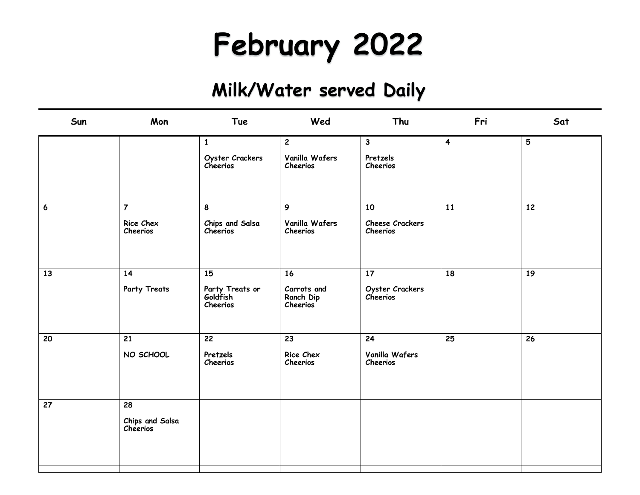# **February 2022**

| Mon                         | Tue                                     | Wed                                         | Thu                         | Fri                     | Sat |
|-----------------------------|-----------------------------------------|---------------------------------------------|-----------------------------|-------------------------|-----|
|                             | $\mathbf{1}$                            | $\mathbf{2}$                                | $\mathbf{3}$                | $\overline{\mathbf{4}}$ | 5   |
|                             | Oyster Crackers<br>Cheerios             | Vanilla Wafers<br>Cheerios                  | Pretzels<br>Cheerios        |                         |     |
| $\overline{7}$              | 8                                       | 9                                           | 10                          | 11                      | 12  |
| Rice Chex<br>Cheerios       | Chips and Salsa<br>Cheerios             | Vanilla Wafers<br>Cheerios                  | Cheese Crackers<br>Cheerios |                         |     |
| 14                          | 15                                      | 16                                          | 17                          | 18                      | 19  |
| Party Treats                | Party Treats or<br>Goldfish<br>Cheerios | Carrots and<br>Ranch Dip<br><b>Cheerios</b> | Oyster Crackers<br>Cheerios |                         |     |
| 21                          | 22                                      | 23                                          | 24                          | 25                      | 26  |
| NO SCHOOL                   | Pretzels<br>Cheerios                    | Rice Chex<br>Cheerios                       | Vanilla Wafers<br>Cheerios  |                         |     |
| 28                          |                                         |                                             |                             |                         |     |
| Chips and Salsa<br>Cheerios |                                         |                                             |                             |                         |     |
|                             |                                         |                                             |                             |                         |     |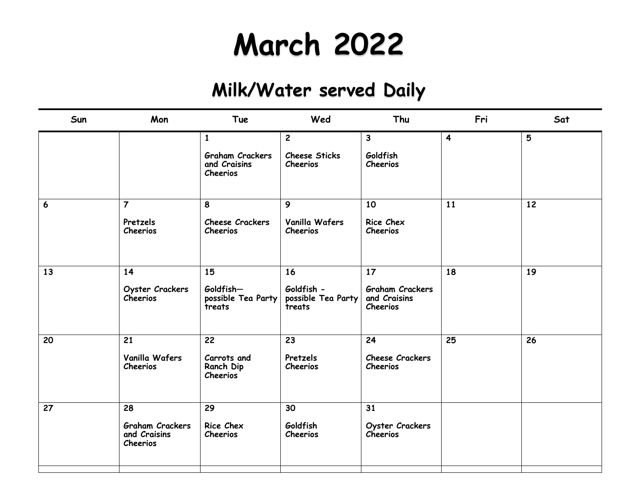## **March 2022**

| Sun             | Mon                                                      | <b>Tue</b>                                                                | Wed                                                | Thu                                                                   | Fri                     | Sat |
|-----------------|----------------------------------------------------------|---------------------------------------------------------------------------|----------------------------------------------------|-----------------------------------------------------------------------|-------------------------|-----|
|                 |                                                          | $\mathbf{1}$<br><b>Graham Crackers</b><br>and Craisins<br><b>Cheerios</b> | $\overline{2}$<br><b>Cheese Sticks</b><br>Cheerios | 3<br>Goldfish<br><b>Cheerios</b>                                      | $\overline{\mathbf{4}}$ | 5   |
| $6\phantom{1}6$ | $\overline{7}$<br>Pretzels<br>Cheerios                   | 8<br><b>Cheese Crackers</b><br><b>Cheerios</b>                            | $\mathbf{9}$<br>Vanilla Wafers<br>Cheerios         | 10<br>Rice Chex<br><b>Cheerios</b>                                    | 11                      | 12  |
| 13              | 14<br>Oyster Crackers<br><b>Cheerios</b>                 | 15<br>Goldfish-<br>possible Tea Party<br>treats                           | 16<br>Goldfish -<br>possible Tea Party<br>treats   | 17 <sup>2</sup><br><b>Graham Crackers</b><br>and Craisins<br>Cheerios | 18                      | 19  |
| 20              | 21<br>Vanilla Wafers<br>Cheerios                         | 22<br>Carrots and<br>Ranch Dip<br>Cheerios                                | 23<br>Pretzels<br>Cheerios                         | 24<br><b>Cheese Crackers</b><br>Cheerios                              | 25                      | 26  |
| 27              | 28<br><b>Graham Crackers</b><br>and Craisins<br>Cheerios | 29<br><b>Rice Chex</b><br><b>Cheerios</b>                                 | 30<br>Goldfish<br>Cheerios                         | 31<br>Oyster Crackers<br><b>Cheerios</b>                              |                         |     |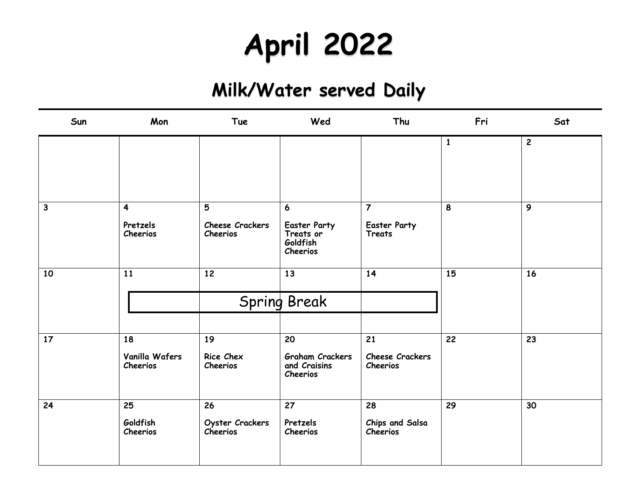# **April 2022**

| Sun          | Mon                                             | <b>Tue</b>                               | Wed                                                                          | Thu                                                    | Fri          | Sat            |
|--------------|-------------------------------------------------|------------------------------------------|------------------------------------------------------------------------------|--------------------------------------------------------|--------------|----------------|
|              |                                                 |                                          |                                                                              |                                                        | $\mathbf{1}$ | $\overline{2}$ |
|              |                                                 |                                          |                                                                              |                                                        |              |                |
| $\mathbf{3}$ | $\overline{\mathbf{4}}$<br>Pretzels<br>Cheerios | 5<br><b>Cheese Crackers</b><br>Cheerios  | $\boldsymbol{6}$<br><b>Easter Party</b><br>Treats or<br>Goldfish<br>Cheerios | $\overline{7}$<br><b>Easter Party</b><br><b>Treats</b> | 8            | 9              |
| 10           | 11                                              | 12                                       | 13<br><b>Spring Break</b>                                                    | 14                                                     | 15           | 16             |
| 17           | 18<br>Vanilla Wafers<br>Cheerios                | 19<br>Rice Chex<br>Cheerios              | 20<br><b>Graham Crackers</b><br>and Craisins<br>Cheerios                     | 21<br><b>Cheese Crackers</b><br>Cheerios               | 22           | 23             |
| 24           | 25<br>Goldfish<br>Cheerios                      | 26<br>Oyster Crackers<br><b>Cheerios</b> | 27<br>Pretzels<br>Cheerios                                                   | 28<br>Chips and Salsa<br>Cheerios                      | 29           | 30             |